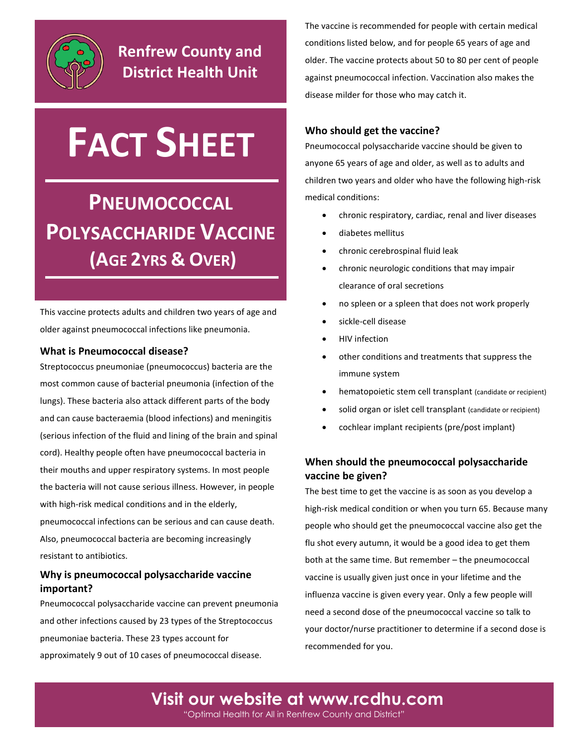

# **FACT SHEET**

## **PNEUMOCOCCAL POLYSACCHARIDE VACCINE (AGE 2YRS & OVER)**

This vaccine protects adults and children two years of age and older against pneumococcal infections like pneumonia.

#### **What is Pneumococcal disease?**

Streptococcus pneumoniae (pneumococcus) bacteria are the most common cause of bacterial pneumonia (infection of the lungs). These bacteria also attack different parts of the body and can cause bacteraemia (blood infections) and meningitis (serious infection of the fluid and lining of the brain and spinal cord). Healthy people often have pneumococcal bacteria in their mouths and upper respiratory systems. In most people the bacteria will not cause serious illness. However, in people with high-risk medical conditions and in the elderly, pneumococcal infections can be serious and can cause death. Also, pneumococcal bacteria are becoming increasingly resistant to antibiotics.

#### **Why is pneumococcal polysaccharide vaccine important?**

Pneumococcal polysaccharide vaccine can prevent pneumonia and other infections caused by 23 types of the Streptococcus pneumoniae bacteria. These 23 types account for approximately 9 out of 10 cases of pneumococcal disease.

The vaccine is recommended for people with certain medical conditions listed below, and for people 65 years of age and older. The vaccine protects about 50 to 80 per cent of people against pneumococcal infection. Vaccination also makes the disease milder for those who may catch it.

#### **Who should get the vaccine?**

Pneumococcal polysaccharide vaccine should be given to anyone 65 years of age and older, as well as to adults and children two years and older who have the following high-risk medical conditions:

- chronic respiratory, cardiac, renal and liver diseases
- diabetes mellitus
- chronic cerebrospinal fluid leak
- chronic neurologic conditions that may impair clearance of oral secretions
- no spleen or a spleen that does not work properly
- sickle-cell disease
- HIV infection
- other conditions and treatments that suppress the immune system
- hematopoietic stem cell transplant (candidate or recipient)
- solid organ or islet cell transplant (candidate or recipient)
- cochlear implant recipients (pre/post implant)

#### **When should the pneumococcal polysaccharide vaccine be given?**

The best time to get the vaccine is as soon as you develop a high-risk medical condition or when you turn 65. Because many people who should get the pneumococcal vaccine also get the flu shot every autumn, it would be a good idea to get them both at the same time. But remember – the pneumococcal vaccine is usually given just once in your lifetime and the influenza vaccine is given every year. Only a few people will need a second dose of the pneumococcal vaccine so talk to your doctor/nurse practitioner to determine if a second dose is recommended for you.

**Visit our website at [www.rcdhu.com](http://www.rcdhu.com/)** "Optimal Health for All in Renfrew County and District"